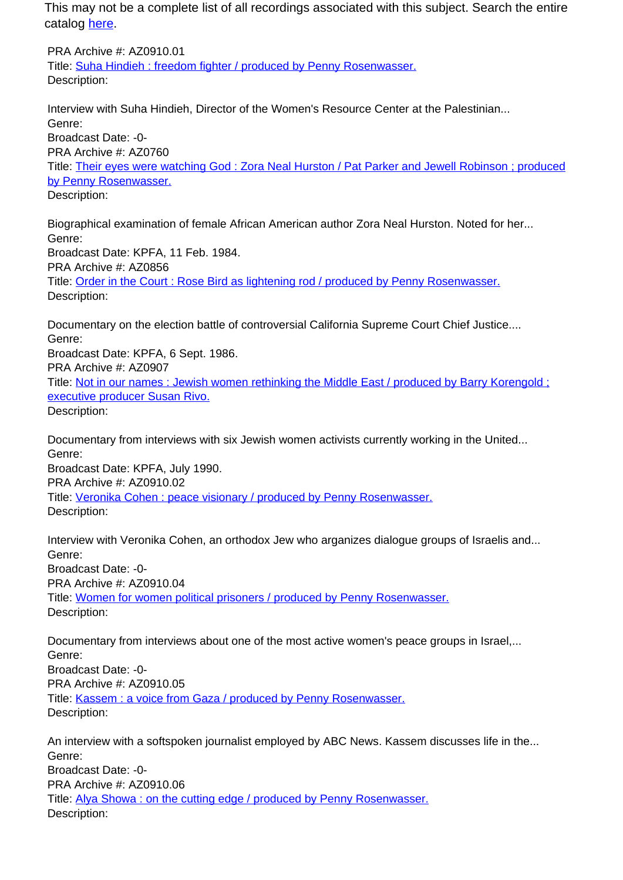This may not be a complete list of all recordings associated with this subject. Search the entire catalog [here.](http://pacificaradioarchives.org/keyword-search)

PRA Archive #: AZ0910.01 Title: Suha Hindieh : freedom fighter / produced by Penny Rosenwasser. Description:

Interview with Suha Hindieh, Director of the Women's Resource Center at the Palestinian... Genre: Broadcast Date: -0- PRA Archive #: AZ0760 Title: Their eyes were watching God : Zora Neal Hurston / Pat Parker and Jewell Robinson ; produced by Penny Rosenwasser. Description:

Biographical examination of female African American author Zora Neal Hurston. Noted for her... Genre: Broadcast Date: KPFA, 11 Feb. 1984. PRA Archive #: AZ0856 Title: Order in the Court : Rose Bird as lightening rod / produced by Penny Rosenwasser. Description:

Documentary on the election battle of controversial California Supreme Court Chief Justice.... Genre: Broadcast Date: KPFA, 6 Sept. 1986. PRA Archive #: AZ0907 Title: Not in our names : Jewish women rethinking the Middle East / produced by Barry Korengold ; executive producer Susan Rivo. Description:

Documentary from interviews with six Jewish women activists currently working in the United... Genre: Broadcast Date: KPFA, July 1990. PRA Archive #: AZ0910.02 Title: Veronika Cohen : peace visionary / produced by Penny Rosenwasser. Description:

Interview with Veronika Cohen, an orthodox Jew who arganizes dialogue groups of Israelis and... Genre: Broadcast Date: -0- PRA Archive #: AZ0910.04 Title: Women for women political prisoners / produced by Penny Rosenwasser. Description:

Documentary from interviews about one of the most active women's peace groups in Israel,... Genre: Broadcast Date: -0- PRA Archive #: AZ0910.05 Title: Kassem : a voice from Gaza / produced by Penny Rosenwasser. Description:

An interview with a softspoken journalist employed by ABC News. Kassem discusses life in the... Genre: Broadcast Date: -0- PRA Archive #: AZ0910.06 Title: Alya Showa : on the cutting edge / produced by Penny Rosenwasser. Description: